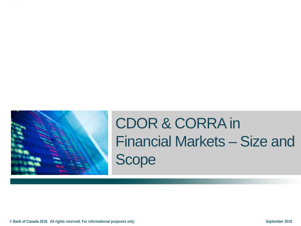

# CDOR & CORRA in Financial Markets – Size and Scope

**© Bank of Canada 2018. All rights reserved. For informational purposes only. September 2018**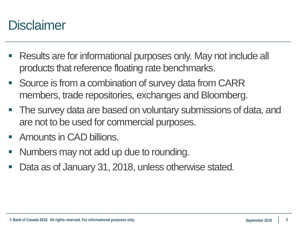## **Disclaimer**

- Results are for informational purposes only. May not include all products that reference floating rate benchmarks.
- Source is from a combination of survey data from CARR members, trade repositories, exchanges and Bloomberg.
- **The survey data are based on voluntary submissions of data, and** are not to be used for commercial purposes.
- **Amounts in CAD billions.**
- Numbers may not add up due to rounding.
- Data as of January 31, 2018, unless otherwise stated.

**© Bank of Canada 2018. All rights reserved. For informational purposes only. September 2018 © Bank of Canada 2018. All rights reserved. For informational purposes only.**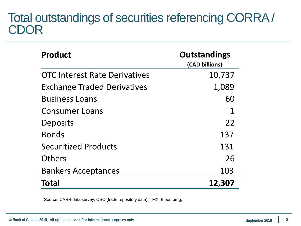#### Total outstandings of securities referencing CORRA / **CDOR**

| <b>Product</b>                       | <b>Outstandings</b><br>(CAD billions) |
|--------------------------------------|---------------------------------------|
| <b>OTC Interest Rate Derivatives</b> | 10,737                                |
| <b>Exchange Traded Derivatives</b>   | 1,089                                 |
| <b>Business Loans</b>                | 60                                    |
| <b>Consumer Loans</b>                | 1                                     |
| Deposits                             | 22                                    |
| <b>Bonds</b>                         | 137                                   |
| <b>Securitized Products</b>          | 131                                   |
| <b>Others</b>                        | 26                                    |
| <b>Bankers Acceptances</b>           | 103                                   |
| <b>Total</b>                         | 12,307                                |

Source: CARR data survey, OSC (trade repository data); TMX, Bloomberg,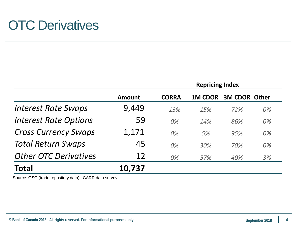## **OTC Derivatives**

|                              |               | <b>Repricing Index</b> |                |                      |    |
|------------------------------|---------------|------------------------|----------------|----------------------|----|
|                              | <b>Amount</b> | <b>CORRA</b>           | <b>1M CDOR</b> | <b>3M CDOR Other</b> |    |
| <b>Interest Rate Swaps</b>   | 9,449         | 13%                    | 15%            | 72%                  | 0% |
| <b>Interest Rate Options</b> | 59            | 0%                     | 14%            | 86%                  | 0% |
| <b>Cross Currency Swaps</b>  | 1,171         | 0%                     | 5%             | 95%                  | 0% |
| <b>Total Return Swaps</b>    | 45            | 0%                     | 30%            | 70%                  | 0% |
| <b>Other OTC Derivatives</b> | 12            | 0%                     | 57%            | 40%                  | 3% |
| Total                        | 10,737        |                        |                |                      |    |

Source: OSC (trade repository data), CARR data survey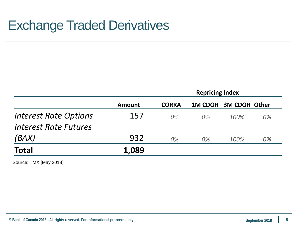## Exchange Traded Derivatives

|                              |               | <b>Repricing Index</b> |    |                       |    |
|------------------------------|---------------|------------------------|----|-----------------------|----|
|                              | <b>Amount</b> | <b>CORRA</b>           |    | 1M CDOR 3M CDOR Other |    |
| <b>Interest Rate Options</b> | 157           | 0%                     | 0% | 100%                  | 0% |
| Interest Rate Futures        |               |                        |    |                       |    |
| (BAX)                        | 932           | 0%                     | 0% | 100%                  | 0% |
| <b>Total</b>                 | 1,089         |                        |    |                       |    |

Source: TMX [May 2018]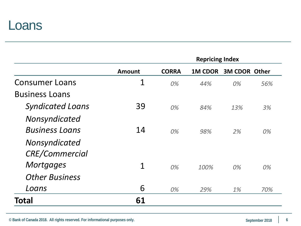#### Loans

|                         |               | <b>Repricing Index</b> |                |                      |     |
|-------------------------|---------------|------------------------|----------------|----------------------|-----|
|                         | <b>Amount</b> | <b>CORRA</b>           | <b>1M CDOR</b> | <b>3M CDOR Other</b> |     |
| <b>Consumer Loans</b>   | 1             | 0%                     | 44%            | 0%                   | 56% |
| <b>Business Loans</b>   |               |                        |                |                      |     |
| <b>Syndicated Loans</b> | 39            | 0%                     | 84%            | 13%                  | 3%  |
| Nonsyndicated           |               |                        |                |                      |     |
| <b>Business Loans</b>   | 14            | 0%                     | 98%            | 2%                   | 0%  |
| Nonsyndicated           |               |                        |                |                      |     |
| <b>CRE/Commercial</b>   |               |                        |                |                      |     |
| <b>Mortgages</b>        | 1             | 0%                     | 100%           | 0%                   | 0%  |
| <b>Other Business</b>   |               |                        |                |                      |     |
| Loans                   | 6             | 0%                     | 29%            | 1%                   | 70% |
| Total                   | 61            |                        |                |                      |     |

**© Bank of Canada 2018. All rights reserved. For informational purposes only. September 2018 6 © Bank of Canada 2018. All rights reserved. For informational purposes only.**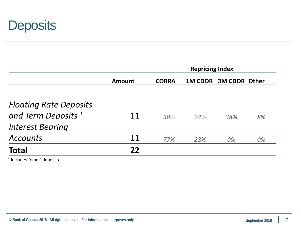

|                                |               | <b>Repricing Index</b> |     |                       |    |
|--------------------------------|---------------|------------------------|-----|-----------------------|----|
|                                | <b>Amount</b> | <b>CORRA</b>           |     | 1M CDOR 3M CDOR Other |    |
|                                |               |                        |     |                       |    |
| <b>Floating Rate Deposits</b>  |               |                        |     |                       |    |
| and Term Deposits <sup>1</sup> | 11            | 30%                    | 24% | 38%                   | 8% |
| <b>Interest Bearing</b>        |               |                        |     |                       |    |
| <b>Accounts</b>                | 11            | 77%                    | 23% | 0%                    | 0% |
| <b>Total</b>                   | 22            |                        |     |                       |    |

<sup>1</sup> Includes "other" deposits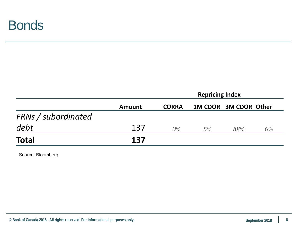#### **Bonds**

|                            |        | <b>Repricing Index</b> |                       |     |    |
|----------------------------|--------|------------------------|-----------------------|-----|----|
|                            | Amount | <b>CORRA</b>           | 1M CDOR 3M CDOR Other |     |    |
| <b>FRNs / subordinated</b> |        |                        |                       |     |    |
| debt                       | 137    | 0%                     | 5%                    | 88% | 6% |
| <b>Total</b>               | 137    |                        |                       |     |    |

Source: Bloomberg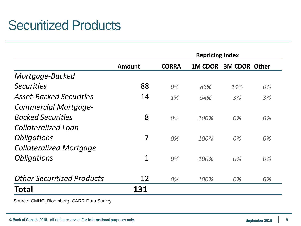## Securitized Products

|                                   |               | <b>Repricing Index</b> |                |                      |    |
|-----------------------------------|---------------|------------------------|----------------|----------------------|----|
|                                   | <b>Amount</b> | <b>CORRA</b>           | <b>1M CDOR</b> | <b>3M CDOR Other</b> |    |
| Mortgage-Backed                   |               |                        |                |                      |    |
| <b>Securities</b>                 | 88            | 0%                     | 86%            | 14%                  | 0% |
| <b>Asset-Backed Securities</b>    | 14            | 1%                     | 94%            | 3%                   | 3% |
| <b>Commercial Mortgage-</b>       |               |                        |                |                      |    |
| <b>Backed Securities</b>          | 8             | 0%                     | 100%           | 0%                   | 0% |
| Collateralized Loan               |               |                        |                |                      |    |
| <i><b>Obligations</b></i>         | 7             | 0%                     | 100%           | 0%                   | 0% |
| <b>Collateralized Mortgage</b>    |               |                        |                |                      |    |
| <i><b>Obligations</b></i>         | $\mathbf 1$   | 0%                     | 100%           | 0%                   | 0% |
| <b>Other Securitized Products</b> | 12            | 0%                     | 100%           | 0%                   | 0% |
| Total                             | 131           |                        |                |                      |    |

Source: CMHC, Bloomberg. CARR Data Survey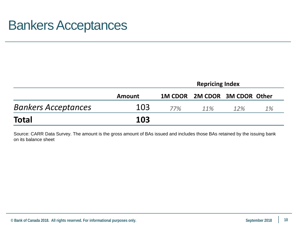### Bankers Acceptances

|                            |        | <b>Repricing Index</b> |                               |     |    |
|----------------------------|--------|------------------------|-------------------------------|-----|----|
|                            | Amount |                        | 1M CDOR 2M CDOR 3M CDOR Other |     |    |
| <b>Bankers Acceptances</b> | 103    | 77%                    | $11\%$                        | 12% | 1% |
| <b>Total</b>               | 103    |                        |                               |     |    |

Source: CARR Data Survey. The amount is the gross amount of BAs issued and includes those BAs retained by the issuing bank on its balance sheet